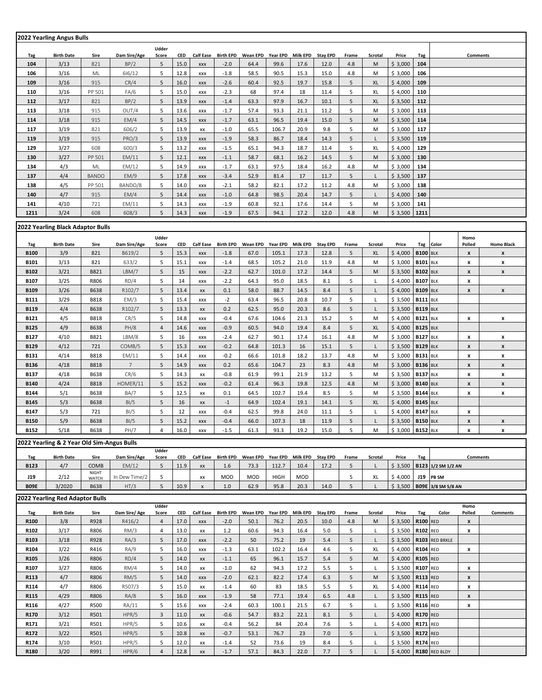|                                   | 2022 Yearling Angus Bulls                  |                       |                 |                           |              |                        |                  |                   |                |                 |                 |        |                   |                    |                                    |                    |                    |                    |
|-----------------------------------|--------------------------------------------|-----------------------|-----------------|---------------------------|--------------|------------------------|------------------|-------------------|----------------|-----------------|-----------------|--------|-------------------|--------------------|------------------------------------|--------------------|--------------------|--------------------|
|                                   |                                            |                       |                 | Udder                     |              |                        |                  |                   |                |                 |                 |        |                   |                    |                                    |                    |                    |                    |
| Tag                               | <b>Birth Date</b>                          | Sire                  | Dam Sire/Age    | Score                     | <b>CED</b>   | <b>Calf Ease</b>       | <b>Birth EPD</b> | Wean EPD          | Year EPD       | <b>Milk EPD</b> | <b>Stay EPD</b> | Frame  | <b>Scrotal</b>    | Price              | Tag                                |                    | Comments           |                    |
| 104                               | 3/13                                       | 821                   | BP/2            | 5                         | 15.0         | XXX                    | $-2.0$           | 64.4              | 99.6           | 17.6            | 12.0            | 4.8    | M                 | \$3,000            | 104                                |                    |                    |                    |
| 106                               | 3/16                                       | ML                    | 616/12          | 5                         | 12.8         | XXX                    | $-1.8$           | 58.5              | 90.5           | 15.3            | 15.0            | 4.8    | M                 | \$3,000            | 106                                |                    |                    |                    |
| 109                               | 3/16                                       | 915                   | CR/4            | 5                         | 16.0         | XXX                    | $-2.6$           | 60.4              | 92.5           | 19.7            | 15.8            | 5      | XL                | \$4,000            | 109                                |                    |                    |                    |
| 110                               | 3/16                                       | PP 501                | FA/6            | 5                         | 15.0         | XXX                    | $-2.3$           | 68                | 97.4           | 18              | 11.4            | 5      | XL                | \$4,000            | 110                                |                    |                    |                    |
| 112                               | 3/17                                       | 821                   | BP/2            | 5                         | 13.9         | XXX                    | $-1.4$           | 63.3              | 97.9           | 16.7            | 10.1            | 5      | XL                | \$3,500            | 112                                |                    |                    |                    |
| 113                               | 3/18                                       | 915                   | OUT/4           | 5                         | 13.6         | XXX                    | $-1.7$           | 57.4              | 93.3           | 21.1            | 11.2            | 5      | M                 | \$3,000            | 113                                |                    |                    |                    |
| 114                               | 3/18                                       | 915                   | EM/4            | 5                         | 14.5         | XXX                    | $-1.7$           | 63.1              | 96.5           | 19.4            | 15.0            | 5      | M                 | \$3,500            | 114                                |                    |                    |                    |
| 117                               | 3/19                                       | 821                   | 606/2           | 5                         | 13.9         | XX                     | $-1.0$           | 65.5              | 106.7          | 20.9            | 9.8             | 5      | M                 | \$3,000            | 117                                |                    |                    |                    |
| 119                               | 3/19                                       | 915                   | PRO/3           | 5                         | 13.9         | XXX                    | $-1.9$           | 58.3              | 86.7           | 18.4            | 14.3            | 5      | L                 | \$3,500            | 119                                |                    |                    |                    |
| 129                               | 3/27<br>3/27                               | 608<br>PP 501         | 600/3<br>EM/11  | 5<br>5                    | 13.2<br>12.1 | XXX                    | $-1.5$           | 65.1              | 94.3<br>68.1   | 18.7<br>16.2    | 11.4<br>14.5    | 5<br>5 | XL                | \$4,000<br>\$3,000 | 129<br>130                         |                    |                    |                    |
| 130<br>134                        | 4/3                                        | ML                    | EM/12           | 5                         | 14.9         | <b>XXX</b><br>XXX      | $-1.1$<br>$-1.7$ | 58.7<br>63.1      | 97.5           | 18.4            | 16.2            | 4.8    | M<br>М            | \$3,000            | 134                                |                    |                    |                    |
| 137                               | 4/4                                        | <b>BANDO</b>          | EM/9            | 5                         | 17.8         |                        | $-3.4$           | 52.9              | 81.4           | 17              | 11.7            | 5      |                   |                    | 137                                |                    |                    |                    |
| 138                               | 4/5                                        | PP 501                | BANDO/8         | 5                         | 14.0         | XXX<br>XXX             | $-2.1$           | 58.2              | 82.1           | 17.2            | 11.2            | 4.8    | M                 | \$3,500<br>\$3,000 | 138                                |                    |                    |                    |
| 140                               | 4/7                                        | 915                   | EM/4            | 5                         | 14.4         | XXX                    | $-1.0$           | 64.8              | 98.5           | 20.4            | 14.7            | 5      | L                 | \$4,000            | 140                                |                    |                    |                    |
| 141                               | 4/10                                       | 721                   | EM/11           | 5                         | 14.3         | XXX                    | $-1.9$           | 60.8              | 92.1           | 17.6            | 14.4            | 5      | М                 | \$3,000            | 141                                |                    |                    |                    |
| 1211                              | 3/24                                       | 608                   | 608/3           | 5                         | 14.3         | <b>XXX</b>             | $-1.9$           | 67.5              | 94.1           | 17.2            | 12.0            | 4.8    | M                 | \$3,500            | 1211                               |                    |                    |                    |
|                                   |                                            |                       |                 |                           |              |                        |                  |                   |                |                 |                 |        |                   |                    |                                    |                    |                    |                    |
| 2022 Yearling Black Adaptor Bulls |                                            |                       |                 |                           |              |                        |                  |                   |                |                 |                 |        |                   |                    |                                    |                    |                    |                    |
|                                   |                                            |                       |                 | <b>Udder</b>              |              |                        |                  |                   |                |                 |                 |        |                   |                    |                                    |                    | Homo               |                    |
| Tag                               | <b>Birth Date</b>                          | Sire                  | Dam Sire/Age    | Score                     | <b>CED</b>   | <b>Calf Ease</b>       | <b>Birth EPD</b> | Wean EPD          | Year EPD       | <b>Milk EPD</b> | <b>Stay EPD</b> | Frame  | <b>Scrotal</b>    | Price              | Tag Color                          |                    | Polled             | <b>Homo Black</b>  |
| <b>B100</b><br>B101               | 3/9<br>3/13                                | 821                   | B619/2<br>633/2 | 5<br>5                    | 15.3<br>15.1 | XXX                    | $-1.8$           | 67.0              | 105.1<br>105.2 | 17.3            | 12.8<br>11.9    | 5      | XL<br>M           | \$4,000<br>\$3,000 | <b>B100</b><br><b>B101 BLK</b>     | <b>BLK</b>         | $\pmb{\mathsf{x}}$ | X                  |
|                                   |                                            | 821                   |                 |                           |              | XXX                    | $-1.4$           | 68.5              |                | 21.0            |                 | 4.8    |                   |                    |                                    |                    | x                  | X                  |
| B102                              | 3/21                                       | B821                  | LBM/7           | 5                         | 15           | XXX                    | $-2.2$           | 62.7              | 101.0          | 17.2            | 14.4            | 5      | M<br>$\mathsf{L}$ | \$3,500            | <b>B102 BLK</b>                    |                    | x                  | X                  |
| B107<br>B109                      | 3/25<br>3/26                               | R806<br><b>B638</b>   | RD/4<br>R102/7  | 5<br>5                    | 14<br>13.4   | XXX                    | $-2.2$           | 64.3<br>58.0      | 95.0<br>88.7   | 18.5<br>14.5    | 8.1<br>8.4      | 5<br>5 | L                 | \$4,000<br>\$4,000 | <b>B107 BLK</b><br><b>B109 BLK</b> |                    | x                  |                    |
| <b>B111</b>                       | 3/29                                       | <b>B818</b>           | EM/3            | 5                         | 15.4         | $\mathsf{X}\mathsf{X}$ | 0.1<br>$-2$      | 63.4              | 96.5           | 20.8            | 10.7            | 5      | L                 | \$3,500            | <b>B111 BLK</b>                    |                    | X                  | $\pmb{\mathsf{x}}$ |
| B119                              | 4/4                                        | <b>B638</b>           | R102/7          | 5                         | 13.3         | XXX<br>XX              | 0.2              | 62.5              | 95.0           | 20.3            | 8.6             | 5      | L                 | \$3,500            | <b>B119</b>                        | <b>BLK</b>         |                    |                    |
| B121                              | 4/5                                        | <b>B818</b>           | CR/5            | 5                         | 14.8         | XXX                    | $-0.4$           | 67.6              | 104.6          | 21.3            | 15.2            | 5      | M                 | \$4,000            | <b>B121 BLK</b>                    |                    | x                  | x                  |
| <b>B125</b>                       | 4/9                                        | <b>B638</b>           | PH/8            | $\overline{4}$            | 14.6         | XXX                    | $-0.9$           | 60.5              | 94.0           | 19.4            | 8.4             | 5      | XL                | \$4,000            | <b>B125 BLK</b>                    |                    |                    |                    |
| B127                              | 4/10                                       | B821                  | LBM/8           | 5                         | 16           | XXX                    | $-2.4$           | 62.7              | 90.1           | 17.4            | 16.1            | 4.8    | м                 | \$3,000            | <b>B127</b>                        | <b>BLK</b>         | x                  | X                  |
| B129                              | 4/12                                       | 721                   | COMB/5          | 5                         | 15.3         | XXX                    | $-0.2$           | 64.8              | 101.3          | 16              | 15.1            | 5      |                   | \$3,500            | <b>B129 BLK</b>                    |                    | X                  | X                  |
| <b>B131</b>                       | 4/14                                       | <b>B818</b>           | EM/11           | 5                         | 14.4         | XXX                    | -0.2             | 66.6              | 101.8          | 18.2            | 13.7            | 4.8    | M                 | \$3,000            | <b>B131 BLK</b>                    |                    | x                  | X                  |
| <b>B136</b>                       | 4/18                                       | <b>B818</b>           | $7\phantom{.0}$ | 5                         | 14.9         | XXX                    | 0.2              | 65.6              | 104.7          | 23              | 8.3             | 4.8    | M                 | \$3,000            | <b>B136 BLK</b>                    |                    | X                  | $\pmb{\mathsf{x}}$ |
| B137                              | 4/18                                       | B638                  | CR/6            | 5                         | 14.3         | XX                     | $-0.8$           | 61.9              | 99.1           | 21.9            | 13.2            | 5      | M                 | \$3,500            | <b>B137</b>                        | <b>BLK</b>         | x                  | X                  |
| B140                              | 4/24                                       | <b>B818</b>           | HOMER/11        | 5                         | 15.2         | XXX                    | $-0.2$           | 61.4              | 96.3           | 19.8            | 12.5            | 4.8    | M                 | \$3,000            | <b>B140 BLK</b>                    |                    | X                  | X                  |
| <b>B144</b>                       | 5/1                                        | <b>B638</b>           | BA/7            | 5                         | 12.5         | XX                     | 0.1              | 64.5              | 102.7          | 19.4            | 8.5             | 5      | М                 | \$3,500            | <b>B144 BLK</b>                    |                    | x                  | x                  |
| <b>B145</b>                       | 5/3                                        | <b>B638</b>           | BI/5            | 5                         | 16           | XX                     | $-1$             | 64.9              | 102.4          | 19.1            | 14.1            | 5      | XL                | \$4,000            | <b>B145 BLK</b>                    |                    |                    |                    |
| <b>B147</b>                       | 5/3                                        | 721                   | BI/5            | 5                         | 12           | XXX                    | -0.4             | 62.5              | 99.8           | 24.0            | 11.1            | 5      | L                 | \$4,000            | <b>B147</b>                        | <b>BLK</b>         | x                  |                    |
| <b>B150</b>                       | 5/9                                        | B638                  | BI/5            | 5                         | 15.2         | XXX                    | $-0.4$           | 66.0              | 107.3          | 18              | 11.9            | 5      | L                 | \$3,500            | <b>B150</b>                        | <b>BLK</b>         | X                  | X                  |
| B152                              | 5/18                                       | B638                  | PH/7            | 4                         | 16.0         | XXX                    | -1.5             | 61.3              | 93.3           | 19.2            | 15.0            | 5      | М                 | \$ 3,000 B152 BLK  |                                    |                    | x                  | x                  |
|                                   | 2022 Yearling & 2 Year Old Sim-Angus Bulls |                       |                 |                           |              |                        |                  |                   |                |                 |                 |        |                   |                    |                                    |                    |                    |                    |
|                                   |                                            |                       |                 | Udder                     |              |                        |                  |                   |                |                 |                 |        |                   |                    |                                    |                    |                    |                    |
| Tag                               | <b>Birth Date</b>                          | Sire                  | Dam Sire/Age    | Score                     | CED          | <b>Calf Ease</b>       | <b>Birth EPD</b> | Wean EPD Year EPD |                | <b>Milk EPD</b> | <b>Stay EPD</b> | Frame  | <b>Scrotal</b>    | Price              | Tag                                |                    | <b>Comments</b>    |                    |
| B123                              | 4/7                                        | COMB                  | EM/12           | 5                         | 11.9         | $\mathsf{X}\mathsf{X}$ | 1.6              | 73.3              | 112.7          | 10.4            | 17.2            | 5      | L                 | \$3,500            |                                    | B123 1/2 SM 1/2 AN |                    |                    |
| <b>J19</b>                        | 2/12                                       | NIGHT<br><b>WATCH</b> | In Dew Time/2   | 5                         |              | XX                     | <b>MOD</b>       | <b>MOD</b>        | HIGH           | <b>MOD</b>      |                 | 5      | XL                | \$4,000            | J19                                | <b>PB SM</b>       |                    |                    |
| <b>B09E</b>                       | 3/2020                                     | <b>B638</b>           | HT/3            | 5                         | 10.9         | $\pmb{\times}$         | 1.0              | 62.9              | 95.8           | 20.3            | 14.0            | 5      | $\mathsf{L}$      | \$3,500            |                                    | B09E 3/8 SM 5/8 AN |                    |                    |
|                                   | 2022 Yearling Red Adaptor Bulls            |                       |                 |                           |              |                        |                  |                   |                |                 |                 |        |                   |                    |                                    |                    |                    |                    |
|                                   |                                            |                       |                 | <b>Udder</b>              |              |                        |                  |                   |                |                 |                 |        |                   |                    |                                    |                    | Homo               |                    |
| Tag                               | <b>Birth Date</b>                          | Sire                  | Dam Sire/Age    | Score                     | CED          | <b>Calf Ease</b>       | <b>Birth EPD</b> | Wean EPD Year EPD |                | <b>Milk EPD</b> | <b>Stay EPD</b> | Frame  | <b>Scrotal</b>    | Price              | Tag                                | Color              | Polled             | <b>Comments</b>    |
| R100                              | 3/8                                        | R928                  | R416/2          | 4                         | 17.0         | XXX                    | $-2.0$           | 50.1              | 76.2           | 20.5            | 10.0            | 4.8    | M                 | \$3,500            | <b>R100 RED</b>                    |                    | x                  |                    |
| R102                              | 3/17                                       | R806                  | RM/3            | 4                         | 13.0         | XX                     | 1.2              | 60.6              | 94.3           | 16.4            | 5.0             | 5      | L                 | \$3,500            | <b>R102 RED</b>                    |                    | x                  |                    |
| R <sub>103</sub><br>R104          | 3/18<br>3/22                               | R928<br>R416          | RA/3<br>RA/9    | 5<br>5                    | 17.0<br>16.0 | XXX                    | $-2.2$<br>$-1.3$ | 50<br>63.1        | 75.2<br>102.2  | 19<br>16.4      | 5.4<br>4.6      | 5<br>5 | L<br>XL           | \$3,500<br>\$4,000 | <b>R104</b> RED                    | R103 RED BRKLE     |                    |                    |
| R105                              | 3/26                                       | R806                  | RD/4            | 5                         | 14.0         | XXX                    | $-1.1$           | 65                | 96.1           | 15.7            | 5.4             | 5      | M                 | \$4,000            | <b>R105 RED</b>                    |                    | x                  |                    |
| R107                              | 3/27                                       | R806                  | RM/4            | 5                         | 14.0         | XX<br>XX               | $-1.0$           | 62                | 94.3           | 17.2            | 5.5             | 5      | L                 | \$3,500            | <b>R107 RED</b>                    |                    | x                  |                    |
| R113                              | 4/7                                        | R806                  | RM/5            | 5                         | 14.0         | XXX                    | $-2.0$           | 62.1              | 82.2           | 17.4            | 6.3             | 5      | M                 | \$3,500            | <b>R113 RED</b>                    |                    | X                  |                    |
| R114                              | 4/7                                        | R806                  | R507/3          | 5                         | 15.0         | XX                     | $-1.4$           | 60                | 83             | 18.5            | 5.5             | 5      | XL                | \$4,000            | <b>R114 RED</b>                    |                    | x                  |                    |
| R115                              | 4/29                                       | R806                  | RA/8            | 5                         | 16.0         | XXX                    | $-1.9$           | 58                | 77.1           | 19.4            | 6.5             | 4.8    | L                 | \$3,500            | <b>R115 RED</b>                    |                    | X                  |                    |
| R116                              | 4/27                                       | R500                  | RA/11           | 5                         | 15.6         | XXX                    | $-2.4$           | 60.3              | 100.1          | 21.5            | 6.7             | 5      | L                 | \$3,500            | <b>R116 RED</b>                    |                    | x                  |                    |
| R170                              | 3/12                                       | R501                  | HPR/5           | $\ensuremath{\mathsf{3}}$ | 11.0         | XX                     | $-0.6$           | 54.7              | 83.2           | 22.1            | 8.1             | 5      | L                 | \$4,000            | <b>R170 RED</b>                    |                    |                    |                    |
| R171                              | 3/21                                       | R501                  | HPR/5           | 5                         | 10.6         | XX                     | $-0.4$           | 56.2              | 84             | 20.4            | 7.6             | 5      | L                 | \$4,000            | <b>R171 RED</b>                    |                    |                    |                    |
| R172                              | 3/22                                       | R501                  | HPR/5           | 5                         | 10.8         | XX                     | $-0.7$           | 53.1              | 76.7           | 23              | 7.0             | 5      | L                 | \$3,500            | <b>R172 RED</b>                    |                    |                    |                    |
| R174                              | 3/10                                       | R501                  | HPR/5           | 5                         | 12.0         | XX                     | $-1.4$           | 52                | 73.6           | 19              | 8.4             | 5      | L                 | \$3,500            | <b>R174 RED</b>                    |                    |                    |                    |
| R180                              | 3/20                                       | R991                  | HPR/6           | $\overline{4}$            | 12.8         | XX                     | $-1.7$           | 57.1              | 84.3           | 22.0            | 7.7             | 5      | L                 | \$4,000            |                                    | R180 RED BLDY      |                    |                    |